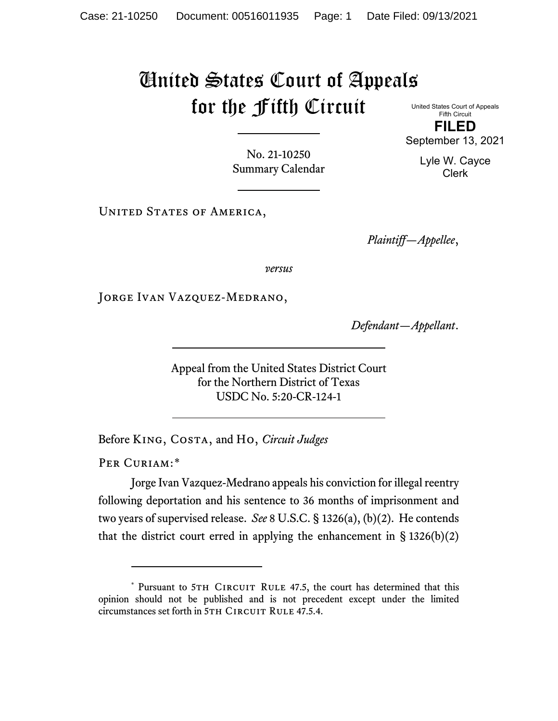## United States Court of Appeals for the Fifth Circuit

United States Court of Appeals Fifth Circuit **FILED**

September 13, 2021

No. 21-10250 Summary Calendar

UNITED STATES OF AMERICA,

*Plaintiff—Appellee*,

*versus*

JORGE IVAN VAZQUEZ-MEDRANO,

*Defendant—Appellant*.

Appeal from the United States District Court for the Northern District of Texas USDC No. 5:20-CR-124-1

Before King, Costa, and Ho, *Circuit Judges*

PER CURIAM:[\\*](#page-0-0)

Jorge Ivan Vazquez-Medrano appeals his conviction for illegal reentry following deportation and his sentence to 36 months of imprisonment and two years of supervised release. *See* 8 U.S.C. § 1326(a), (b)(2). He contends that the district court erred in applying the enhancement in  $\S$  1326(b)(2)

Lyle W. Cayce Clerk

<span id="page-0-0"></span><sup>\*</sup> Pursuant to 5TH CIRCUIT RULE 47.5, the court has determined that this opinion should not be published and is not precedent except under the limited circumstances set forth in 5TH CIRCUIT RULE 47.5.4.